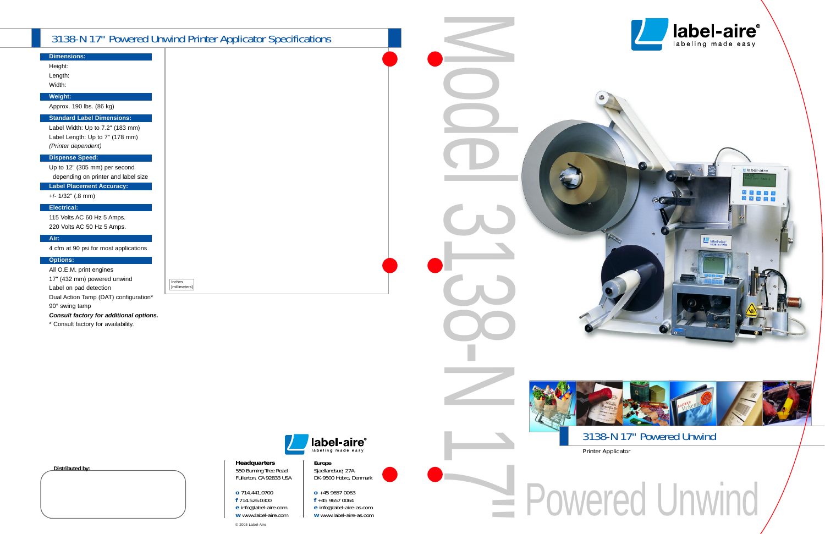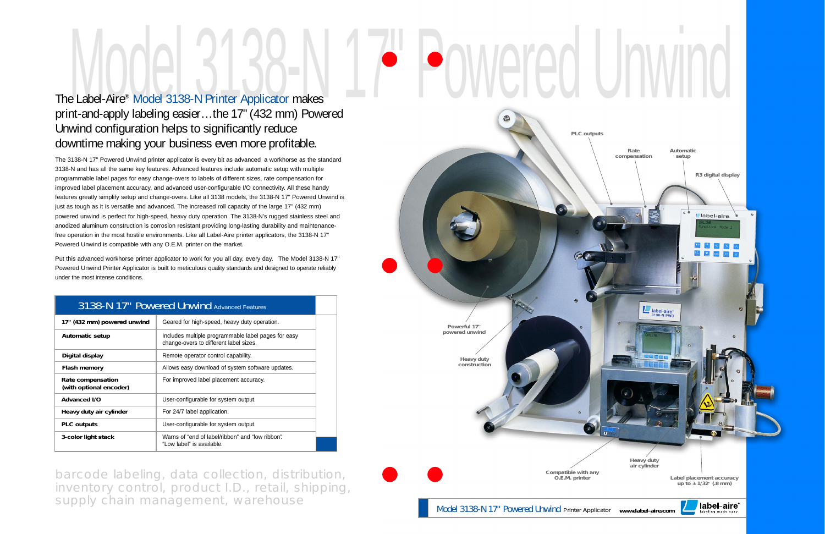## The Label-Aire® Model 3138-N Printer Applicator makes

## print-and-apply labeling easier…the 17" (432 mm) Powered Unwind configuration helps to significantly reduce downtime making your business even more profitable.

The 3138-N 17" Powered Unwind printer applicator is every bit as advanced a workhorse as the standard 3138-N and has all the same key features. Advanced features include automatic setup with multiple programmable label pages for easy change-overs to labels of different sizes, rate compensation for improved label placement accuracy, and advanced user-configurable I/O connectivity. All these handy features greatly simplify setup and change-overs. Like all 3138 models, the 3138-N 17" Powered Unwind is just as tough as it is versatile and advanced. The increased roll capacity of the large 17" (432 mm) powered unwind is perfect for high-speed, heavy duty operation. The 3138-N's rugged stainless steel and anodized aluminum construction is corrosion resistant providing long-lasting durability and maintenancefree operation in the most hostile environments. Like all Label-Aire printer applicators, the 3138-N 17" Powered Unwind is compatible with any O.E.M. printer on the market.

Put this advanced workhorse printer applicator to work for you all day, every day. The Model 3138-N 17" Powered Unwind Printer Applicator is built to meticulous quality standards and designed to operate reliably under the most intense conditions.

|                                              | 3130-N 17 PUWELEU UHWIHU Advanced Features                                                    |  |
|----------------------------------------------|-----------------------------------------------------------------------------------------------|--|
| 17" (432 mm) powered unwind                  | Geared for high-speed, heavy duty operation.                                                  |  |
| <b>Automatic setup</b>                       | Includes multiple programmable label pages for easy<br>change-overs to different label sizes. |  |
| Digital display                              | Remote operator control capability.                                                           |  |
| Flash memory                                 | Allows easy download of system software updates.                                              |  |
| Rate compensation<br>(with optional encoder) | For improved label placement accuracy.                                                        |  |
| Advanced I/O                                 | User-configurable for system output.                                                          |  |
| Heavy duty air cylinder                      | For 24/7 label application.                                                                   |  |
| <b>PLC</b> outputs                           | User-configurable for system output.                                                          |  |
| 3-color light stack                          | Warns of "end of label/ribbon" and "low ribbon".<br>"Low label" is available.                 |  |

### 3138-N 17" Powered Unwind Advanced Features

barcode labeling, data collection, distribution, inventory control, product I.D., retail, shipping, supply chain management, warehouse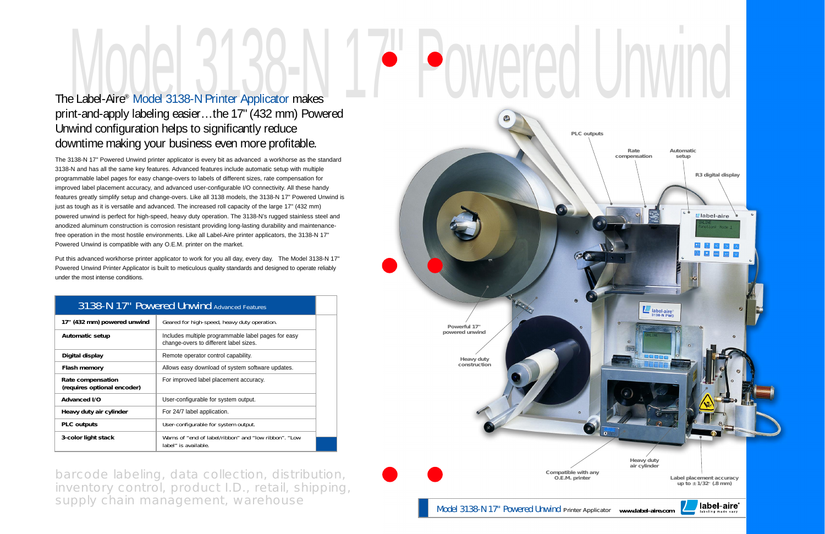# Powered Unwind